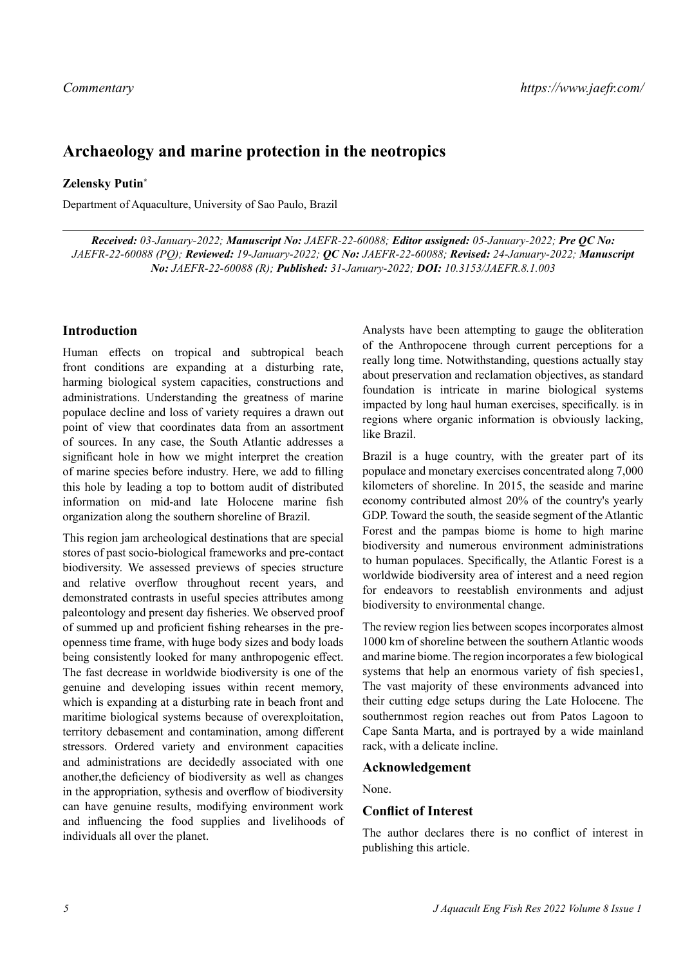# **Archaeology and marine protection in the neotropics**

#### **Zelensky Putin\***

Department of Aquaculture, University of Sao Paulo, Brazil

*Received: 03-January-2022; Manuscript No: JAEFR-22-60088; Editor assigned: 05-January-2022; Pre QC No: JAEFR-22-60088 (PQ); Reviewed: 19-January-2022; QC No: JAEFR-22-60088; Revised: 24-January-2022; Manuscript No: JAEFR-22-60088 (R); Published: 31-January-2022; DOI: 10.3153/JAEFR.8.1.003*

## **Introduction**

Human effects on tropical and subtropical beach front conditions are expanding at a disturbing rate, harming biological system capacities, constructions and administrations. Understanding the greatness of marine populace decline and loss of variety requires a drawn out point of view that coordinates data from an assortment of sources. In any case, the South Atlantic addresses a significant hole in how we might interpret the creation of marine species before industry. Here, we add to filling this hole by leading a top to bottom audit of distributed information on mid-and late Holocene marine fish organization along the southern shoreline of Brazil.

This region jam archeological destinations that are special stores of past socio-biological frameworks and pre-contact biodiversity. We assessed previews of species structure and relative overflow throughout recent years, and demonstrated contrasts in useful species attributes among paleontology and present day fisheries. We observed proof of summed up and proficient fishing rehearses in the preopenness time frame, with huge body sizes and body loads being consistently looked for many anthropogenic effect. The fast decrease in worldwide biodiversity is one of the genuine and developing issues within recent memory, which is expanding at a disturbing rate in beach front and maritime biological systems because of overexploitation, territory debasement and contamination, among different stressors. Ordered variety and environment capacities and administrations are decidedly associated with one another,the deficiency of biodiversity as well as changes in the appropriation, sythesis and overflow of biodiversity can have genuine results, modifying environment work and influencing the food supplies and livelihoods of individuals all over the planet.

Analysts have been attempting to gauge the obliteration of the Anthropocene through current perceptions for a really long time. Notwithstanding, questions actually stay about preservation and reclamation objectives, as standard foundation is intricate in marine biological systems impacted by long haul human exercises, specifically. is in regions where organic information is obviously lacking, like Brazil.

Brazil is a huge country, with the greater part of its populace and monetary exercises concentrated along 7,000 kilometers of shoreline. In 2015, the seaside and marine economy contributed almost 20% of the country's yearly GDP. Toward the south, the seaside segment of the Atlantic Forest and the pampas biome is home to high marine biodiversity and numerous environment administrations to human populaces. Specifically, the Atlantic Forest is a worldwide biodiversity area of interest and a need region for endeavors to reestablish environments and adjust biodiversity to environmental change.

The review region lies between scopes incorporates almost 1000 km of shoreline between the southern Atlantic woods and marine biome. The region incorporates a few biological systems that help an enormous variety of fish species1, The vast majority of these environments advanced into their cutting edge setups during the Late Holocene. The southernmost region reaches out from Patos Lagoon to Cape Santa Marta, and is portrayed by a wide mainland rack, with a delicate incline.

#### **Acknowledgement**

None.

## **Conflict of Interest**

The author declares there is no conflict of interest in publishing this article.